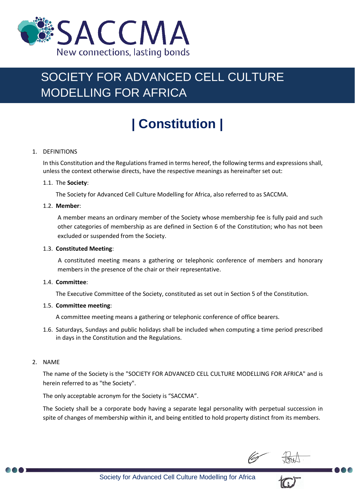

## SOCIETY FOR ADVANCED CELL CULTURE MODELLING FOR AFRICA

# **| Constitution |**

#### 1. DEFINITIONS

In this Constitution and the Regulations framed in terms hereof, the following terms and expressions shall, unless the context otherwise directs, have the respective meanings as hereinafter set out:

#### 1.1. The **Society**:

The Society for Advanced Cell Culture Modelling for Africa, also referred to as SACCMA.

#### 1.2. **Member**:

A member means an ordinary member of the Society whose membership fee is fully paid and such other categories of membership as are defined in Section 6 of the Constitution; who has not been excluded or suspended from the Society.

#### 1.3. **Constituted Meeting**:

A constituted meeting means a gathering or telephonic conference of members and honorary members in the presence of the chair or their representative.

#### 1.4. **Committee**:

The Executive Committee of the Society, constituted as set out in Section 5 of the Constitution.

#### 1.5. **Committee meeting**:

A committee meeting means a gathering or telephonic conference of office bearers.

1.6. Saturdays, Sundays and public holidays shall be included when computing a time period prescribed in days in the Constitution and the Regulations.

#### 2. NAME

The name of the Society is the "SOCIETY FOR ADVANCED CELL CULTURE MODELLING FOR AFRICA" and is herein referred to as "the Society".

The only acceptable acronym for the Society is "SACCMA".

The Society shall be a corporate body having a separate legal personality with perpetual succession in spite of changes of membership within it, and being entitled to hold property distinct from its members.

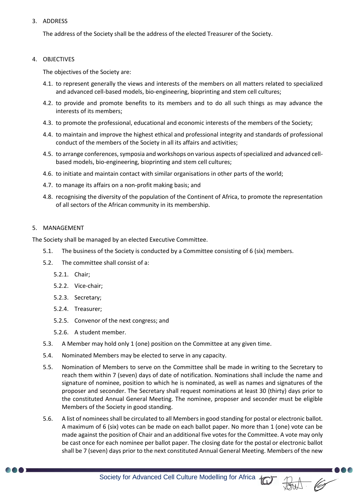#### 3. ADDRESS

The address of the Society shall be the address of the elected Treasurer of the Society.

#### 4. OBJECTIVES

The objectives of the Society are:

- 4.1. to represent generally the views and interests of the members on all matters related to specialized and advanced cell-based models, bio-engineering, bioprinting and stem cell cultures;
- 4.2. to provide and promote benefits to its members and to do all such things as may advance the interests of its members;
- 4.3. to promote the professional, educational and economic interests of the members of the Society;
- 4.4. to maintain and improve the highest ethical and professional integrity and standards of professional conduct of the members of the Society in all its affairs and activities;
- 4.5. to arrange conferences, symposia and workshops on various aspects of specialized and advanced cellbased models, bio-engineering, bioprinting and stem cell cultures;
- 4.6. to initiate and maintain contact with similar organisations in other parts of the world;
- 4.7. to manage its affairs on a non-profit making basis; and
- 4.8. recognising the diversity of the population of the Continent of Africa, to promote the representation of all sectors of the African community in its membership.

#### 5. MANAGEMENT

The Society shall be managed by an elected Executive Committee.

- 5.1. The business of the Society is conducted by a Committee consisting of 6 (six) members.
- 5.2. The committee shall consist of a:
	- 5.2.1. Chair;
	- 5.2.2. Vice-chair;
	- 5.2.3. Secretary;
	- 5.2.4. Treasurer;
	- 5.2.5. Convenor of the next congress; and
	- 5.2.6. A student member.
- 5.3. A Member may hold only 1 (one) position on the Committee at any given time.
- 5.4. Nominated Members may be elected to serve in any capacity.
- 5.5. Nomination of Members to serve on the Committee shall be made in writing to the Secretary to reach them within 7 (seven) days of date of notification. Nominations shall include the name and signature of nominee, position to which he is nominated, as well as names and signatures of the proposer and seconder. The Secretary shall request nominations at least 30 (thirty) days prior to the constituted Annual General Meeting. The nominee, proposer and seconder must be eligible Members of the Society in good standing.
- 5.6. A list of nominees shall be circulated to all Members in good standing for postal or electronic ballot. A maximum of 6 (six) votes can be made on each ballot paper. No more than 1 (one) vote can be made against the position of Chair and an additional five votes for the Committee. A vote may only be cast once for each nominee per ballot paper. The closing date for the postal or electronic ballot shall be 7 (seven) days prior to the next constituted Annual General Meeting. Members of the new



Society for Advanced Cell Culture Modelling for Africa (C)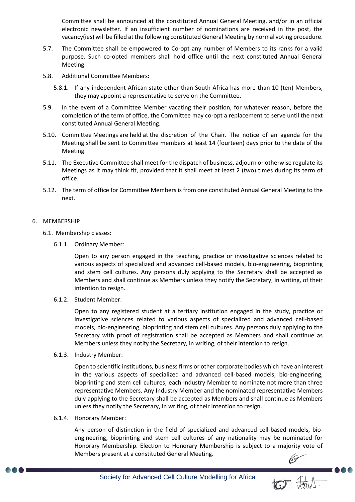Committee shall be announced at the constituted Annual General Meeting, and/or in an official electronic newsletter. If an insufficient number of nominations are received in the post, the vacancy(ies) will be filled at the following constituted General Meeting by normal voting procedure.

- 5.7. The Committee shall be empowered to Co-opt any number of Members to its ranks for a valid purpose. Such co-opted members shall hold office until the next constituted Annual General Meeting.
- 5.8. Additional Committee Members:
	- 5.8.1. If any independent African state other than South Africa has more than 10 (ten) Members, they may appoint a representative to serve on the Committee.
- 5.9. In the event of a Committee Member vacating their position, for whatever reason, before the completion of the term of office, the Committee may co-opt a replacement to serve until the next constituted Annual General Meeting.
- 5.10. Committee Meetings are held at the discretion of the Chair. The notice of an agenda for the Meeting shall be sent to Committee members at least 14 (fourteen) days prior to the date of the Meeting.
- 5.11. The Executive Committee shall meet for the dispatch of business, adjourn or otherwise regulate its Meetings as it may think fit, provided that it shall meet at least 2 (two) times during its term of office.
- 5.12. The term of office for Committee Members is from one constituted Annual General Meeting to the next.

#### 6. MEMBERSHIP

- 6.1. Membership classes:
	- 6.1.1. Ordinary Member:

Open to any person engaged in the teaching, practice or investigative sciences related to various aspects of specialized and advanced cell-based models, bio-engineering, bioprinting and stem cell cultures. Any persons duly applying to the Secretary shall be accepted as Members and shall continue as Members unless they notify the Secretary, in writing, of their intention to resign.

6.1.2. Student Member:

Open to any registered student at a tertiary institution engaged in the study, practice or investigative sciences related to various aspects of specialized and advanced cell-based models, bio-engineering, bioprinting and stem cell cultures. Any persons duly applying to the Secretary with proof of registration shall be accepted as Members and shall continue as Members unless they notify the Secretary, in writing, of their intention to resign.

6.1.3. Industry Member:

Open to scientific institutions, business firms or other corporate bodies which have an interest in the various aspects of specialized and advanced cell-based models, bio-engineering, bioprinting and stem cell cultures; each Industry Member to nominate not more than three representative Members. Any Industry Member and the nominated representative Members duly applying to the Secretary shall be accepted as Members and shall continue as Members unless they notify the Secretary, in writing, of their intention to resign.

6.1.4. Honorary Member:

Any person of distinction in the field of specialized and advanced cell-based models, bioengineering, bioprinting and stem cell cultures of any nationality may be nominated for Honorary Membership. Election to Honorary Membership is subject to a majority vote of Members present at a constituted General Meeting.

-000



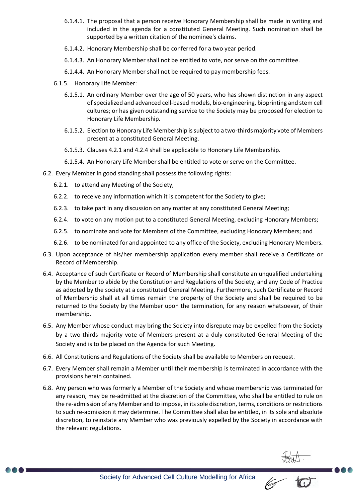- 6.1.4.1. The proposal that a person receive Honorary Membership shall be made in writing and included in the agenda for a constituted General Meeting. Such nomination shall be supported by a written citation of the nominee's claims.
- 6.1.4.2. Honorary Membership shall be conferred for a two year period.
- 6.1.4.3. An Honorary Member shall not be entitled to vote, nor serve on the committee.
- 6.1.4.4. An Honorary Member shall not be required to pay membership fees.
- 6.1.5. Honorary Life Member:
	- 6.1.5.1. An ordinary Member over the age of 50 years, who has shown distinction in any aspect of specialized and advanced cell-based models, bio-engineering, bioprinting and stem cell cultures; or has given outstanding service to the Society may be proposed for election to Honorary Life Membership.
	- 6.1.5.2. Election to Honorary Life Membership is subject to a two-thirds majority vote of Members present at a constituted General Meeting.
	- 6.1.5.3. Clauses 4.2.1 and 4.2.4 shall be applicable to Honorary Life Membership.
	- 6.1.5.4. An Honorary Life Member shall be entitled to vote or serve on the Committee.
- 6.2. Every Member in good standing shall possess the following rights:
	- 6.2.1. to attend any Meeting of the Society,
	- 6.2.2. to receive any information which it is competent for the Society to give;
	- 6.2.3. to take part in any discussion on any matter at any constituted General Meeting;
	- 6.2.4. to vote on any motion put to a constituted General Meeting, excluding Honorary Members;
	- 6.2.5. to nominate and vote for Members of the Committee, excluding Honorary Members; and
	- 6.2.6. to be nominated for and appointed to any office of the Society, excluding Honorary Members.
- 6.3. Upon acceptance of his/her membership application every member shall receive a Certificate or Record of Membership.
- 6.4. Acceptance of such Certificate or Record of Membership shall constitute an unqualified undertaking by the Member to abide by the Constitution and Regulations of the Society, and any Code of Practice as adopted by the society at a constituted General Meeting. Furthermore, such Certificate or Record of Membership shall at all times remain the property of the Society and shall be required to be returned to the Society by the Member upon the termination, for any reason whatsoever, of their membership.
- 6.5. Any Member whose conduct may bring the Society into disrepute may be expelled from the Society by a two-thirds majority vote of Members present at a duly constituted General Meeting of the Society and is to be placed on the Agenda for such Meeting.
- 6.6. All Constitutions and Regulations of the Society shall be available to Members on request.
- 6.7. Every Member shall remain a Member until their membership is terminated in accordance with the provisions herein contained.
- 6.8. Any person who was formerly a Member of the Society and whose membership was terminated for any reason, may be re-admitted at the discretion of the Committee, who shall be entitled to rule on the re-admission of any Member and to impose, in its sole discretion, terms, conditions or restrictions to such re-admission it may determine. The Committee shall also be entitled, in its sole and absolute discretion, to reinstate any Member who was previously expelled by the Society in accordance with the relevant regulations.



 $\blacksquare$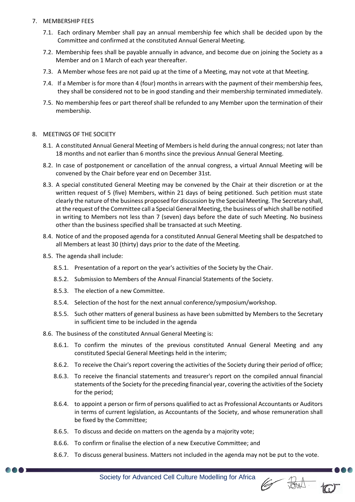#### 7. MEMBERSHIP FEES

- 7.1. Each ordinary Member shall pay an annual membership fee which shall be decided upon by the Committee and confirmed at the constituted Annual General Meeting.
- 7.2. Membership fees shall be payable annually in advance, and become due on joining the Society as a Member and on 1 March of each year thereafter.
- 7.3. A Member whose fees are not paid up at the time of a Meeting, may not vote at that Meeting.
- 7.4. If a Member is for more than 4 (four) months in arrears with the payment of their membership fees, they shall be considered not to be in good standing and their membership terminated immediately.
- 7.5. No membership fees or part thereof shall be refunded to any Member upon the termination of their membership.

#### 8. MEETINGS OF THE SOCIETY

- 8.1. A constituted Annual General Meeting of Members is held during the annual congress; not later than 18 months and not earlier than 6 months since the previous Annual General Meeting.
- 8.2. In case of postponement or cancellation of the annual congress, a virtual Annual Meeting will be convened by the Chair before year end on December 31st.
- 8.3. A special constituted General Meeting may be convened by the Chair at their discretion or at the written request of 5 (five) Members, within 21 days of being petitioned. Such petition must state clearly the nature of the business proposed for discussion by the Special Meeting. The Secretary shall, at the request of the Committee call a Special General Meeting, the business of which shall be notified in writing to Members not less than 7 (seven) days before the date of such Meeting. No business other than the business specified shall be transacted at such Meeting.
- 8.4. Notice of and the proposed agenda for a constituted Annual General Meeting shall be despatched to all Members at least 30 (thirty) days prior to the date of the Meeting.
- 8.5. The agenda shall include:
	- 8.5.1. Presentation of a report on the year's activities of the Society by the Chair.
	- 8.5.2. Submission to Members of the Annual Financial Statements of the Society.
	- 8.5.3. The election of a new Committee.
	- 8.5.4. Selection of the host for the next annual conference/symposium/workshop.
	- 8.5.5. Such other matters of general business as have been submitted by Members to the Secretary in sufficient time to be included in the agenda
- 8.6. The business of the constituted Annual General Meeting is:
	- 8.6.1. To confirm the minutes of the previous constituted Annual General Meeting and any constituted Special General Meetings held in the interim;
	- 8.6.2. To receive the Chair's report covering the activities of the Society during their period of office;
	- 8.6.3. To receive the financial statements and treasurer's report on the compiled annual financial statements of the Society for the preceding financial year, covering the activities of the Society for the period;
	- 8.6.4. to appoint a person or firm of persons qualified to act as Professional Accountants or Auditors in terms of current legislation, as Accountants of the Society, and whose remuneration shall be fixed by the Committee;
	- 8.6.5. To discuss and decide on matters on the agenda by a majority vote;
	- 8.6.6. To confirm or finalise the election of a new Executive Committee; and
	- 8.6.7. To discuss general business. Matters not included in the agenda may not be put to the vote.

6 But 10

Society for Advanced Cell Culture Modelling for Africa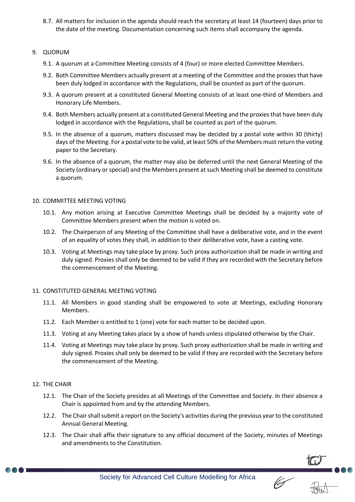8.7. All matters for inclusion in the agenda should reach the secretary at least 14 (fourteen) days prior to the date of the meeting. Documentation concerning such items shall accompany the agenda.

#### 9. QUORUM

- 9.1. A quorum at a Committee Meeting consists of 4 (four) or more elected Committee Members.
- 9.2. Both Committee Members actually present at a meeting of the Committee and the proxies that have been duly lodged in accordance with the Regulations, shall be counted as part of the quorum.
- 9.3. A quorum present at a constituted General Meeting consists of at least one-third of Members and Honorary Life Members.
- 9.4. Both Members actually present at a constituted General Meeting and the proxies that have been duly lodged in accordance with the Regulations, shall be counted as part of the quorum.
- 9.5. In the absence of a quorum, matters discussed may be decided by a postal vote within 30 (thirty) days of the Meeting. For a postal vote to be valid, at least 50% of the Members must return the voting paper to the Secretary.
- 9.6. In the absence of a quorum, the matter may also be deferred until the next General Meeting of the Society (ordinary or special) and the Members present at such Meeting shall be deemed to constitute a quorum.

#### 10. COMMITTEE MEETING VOTING

- 10.1. Any motion arising at Executive Committee Meetings shall be decided by a majority vote of Committee Members present when the motion is voted on.
- 10.2. The Chairperson of any Meeting of the Committee shall have a deliberative vote, and in the event of an equality of votes they shall, in addition to their deliberative vote, have a casting vote.
- 10.3. Voting at Meetings may take place by proxy. Such proxy authorization shall be made in writing and duly signed. Proxies shall only be deemed to be valid if they are recorded with the Secretary before the commencement of the Meeting.

#### 11. CONSTITUTED GENERAL MEETING VOTING

- 11.1. All Members in good standing shall be empowered to vote at Meetings, excluding Honorary Members.
- 11.2. Each Member is entitled to 1 (one) vote for each matter to be decided upon.
- 11.3. Voting at any Meeting takes place by a show of hands unless stipulated otherwise by the Chair.
- 11.4. Voting at Meetings may take place by proxy. Such proxy authorization shall be made in writing and duly signed. Proxies shall only be deemed to be valid if they are recorded with the Secretary before the commencement of the Meeting.

#### 12. THE CHAIR

- 12.1. The Chair of the Society presides at all Meetings of the Committee and Society. In their absence a Chair is appointed from and by the attending Members.
- 12.2. The Chair shall submit a report on the Society's activities during the previous year to the constituted Annual General Meeting.
- 12.3. The Chair shall affix their signature to any official document of the Society, minutes of Meetings and amendments to the Constitution.



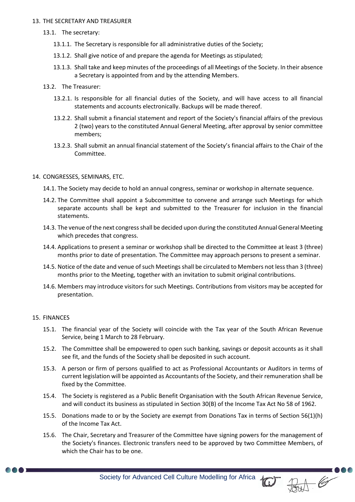#### 13. THE SECRETARY AND TREASURER

- 13.1. The secretary:
	- 13.1.1. The Secretary is responsible for all administrative duties of the Society;
	- 13.1.2. Shall give notice of and prepare the agenda for Meetings as stipulated;
	- 13.1.3. Shall take and keep minutes of the proceedings of all Meetings of the Society. In their absence a Secretary is appointed from and by the attending Members.
- 13.2. The Treasurer:
	- 13.2.1. Is responsible for all financial duties of the Society, and will have access to all financial statements and accounts electronically. Backups will be made thereof.
	- 13.2.2. Shall submit a financial statement and report of the Society's financial affairs of the previous 2 (two) years to the constituted Annual General Meeting, after approval by senior committee members;
	- 13.2.3. Shall submit an annual financial statement of the Society's financial affairs to the Chair of the Committee.

#### 14. CONGRESSES, SEMINARS, ETC.

- 14.1. The Society may decide to hold an annual congress, seminar or workshop in alternate sequence.
- 14.2. The Committee shall appoint a Subcommittee to convene and arrange such Meetings for which separate accounts shall be kept and submitted to the Treasurer for inclusion in the financial statements.
- 14.3. The venue of the next congress shall be decided upon during the constituted Annual General Meeting which precedes that congress.
- 14.4. Applications to present a seminar or workshop shall be directed to the Committee at least 3 (three) months prior to date of presentation. The Committee may approach persons to present a seminar.
- 14.5. Notice of the date and venue of such Meetings shall be circulated to Members not less than 3 (three) months prior to the Meeting, together with an invitation to submit original contributions.
- 14.6. Members may introduce visitors for such Meetings. Contributions from visitors may be accepted for presentation.

#### 15. FINANCES

- 15.1. The financial year of the Society will coincide with the Tax year of the South African Revenue Service, being 1 March to 28 February.
- 15.2. The Committee shall be empowered to open such banking, savings or deposit accounts as it shall see fit, and the funds of the Society shall be deposited in such account.
- 15.3. A person or firm of persons qualified to act as Professional Accountants or Auditors in terms of current legislation will be appointed as Accountants of the Society, and their remuneration shall be fixed by the Committee.
- 15.4. The Society is registered as a Public Benefit Organisation with the South African Revenue Service, and will conduct its business as stipulated in Section 30(B) of the Income Tax Act No 58 of 1962.
- 15.5. Donations made to or by the Society are exempt from Donations Tax in terms of Section 56(1)(h) of the Income Tax Act.
- 15.6. The Chair, Secretary and Treasurer of the Committee have signing powers for the management of the Society's finances. Electronic transfers need to be approved by two Committee Members, of which the Chair has to be one.



Society for Advanced Cell Culture Modelling for Africa (C) AM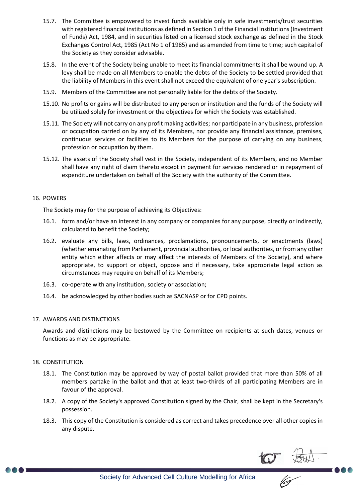- 15.7. The Committee is empowered to invest funds available only in safe investments/trust securities with registered financial institutions as defined in Section 1 of the Financial Institutions (Investment of Funds) Act, 1984, and in securities listed on a licensed stock exchange as defined in the Stock Exchanges Control Act, 1985 (Act No 1 of 1985) and as amended from time to time; such capital of the Society as they consider advisable.
- 15.8. In the event of the Society being unable to meet its financial commitments it shall be wound up. A levy shall be made on all Members to enable the debts of the Society to be settled provided that the liability of Members in this event shall not exceed the equivalent of one year's subscription.
- 15.9. Members of the Committee are not personally liable for the debts of the Society.
- 15.10. No profits or gains will be distributed to any person or institution and the funds of the Society will be utilized solely for investment or the objectives for which the Society was established.
- 15.11. The Society will not carry on any profit making activities; nor participate in any business, profession or occupation carried on by any of its Members, nor provide any financial assistance, premises, continuous services or facilities to its Members for the purpose of carrying on any business, profession or occupation by them.
- 15.12. The assets of the Society shall vest in the Society, independent of its Members, and no Member shall have any right of claim thereto except in payment for services rendered or in repayment of expenditure undertaken on behalf of the Society with the authority of the Committee.

#### 16. POWERS

The Society may for the purpose of achieving its Objectives:

- 16.1. form and/or have an interest in any company or companies for any purpose, directly or indirectly, calculated to benefit the Society;
- 16.2. evaluate any bills, laws, ordinances, proclamations, pronouncements, or enactments (laws) (whether emanating from Parliament, provincial authorities, or local authorities, or from any other entity which either affects or may affect the interests of Members of the Society), and where appropriate, to support or object, oppose and if necessary, take appropriate legal action as circumstances may require on behalf of its Members;
- 16.3. co-operate with any institution, society or association;
- 16.4. be acknowledged by other bodies such as SACNASP or for CPD points.

#### 17. AWARDS AND DISTINCTIONS

Awards and distinctions may be bestowed by the Committee on recipients at such dates, venues or functions as may be appropriate.

#### 18. CONSTITUTION

- 18.1. The Constitution may be approved by way of postal ballot provided that more than 50% of all members partake in the ballot and that at least two-thirds of all participating Members are in favour of the approval.
- 18.2. A copy of the Society's approved Constitution signed by the Chair, shall be kept in the Secretary's possession.
- 18.3. This copy of the Constitution is considered as correct and takes precedence over all other copies in any dispute.

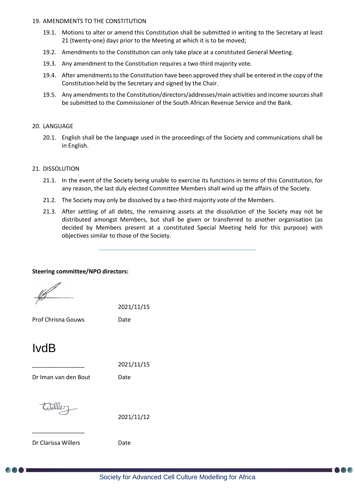#### 19. AMENDMENTS TO THE CONSTITUTION

- 19.1. Motions to alter or amend this Constitution shall be submitted in writing to the Secretary at least 21 (twenty-one) days prior to the Meeting at which it is to be moved;
- 19.2. Amendments to the Constitution can only take place at a constituted General Meeting.
- 19.3. Any amendment to the Constitution requires a two-third majority vote.
- 19.4. After amendments to the Constitution have been approved they shall be entered in the copy of the Constitution held by the Secretary and signed by the Chair.
- 19.5. Any amendments to the Constitution/directors/addresses/main activities and income sources shall be submitted to the Commissioner of the South African Revenue Service and the Bank.

#### 20. LANGUAGE

20.1. English shall be the language used in the proceedings of the Society and communications shall be in English.

#### 21. DISSOLUTION

- 21.1. In the event of the Society being unable to exercise its functions in terms of this Constitution, for any reason, the last duly elected Committee Members shall wind up the affairs of the Society.
- 21.2. The Society may only be dissolved by a two-third majority vote of the Members.
- 21.3. After settling of all debts, the remaining assets at the dissolution of the Society may not be distributed amongst Members, but shall be given or transferred to another organisation (as decided by Members present at a constituted Special Meeting held for this purpose) with objectives similar to those of the Society.

 $\_$  ,  $\_$  ,  $\_$  ,  $\_$  ,  $\_$  ,  $\_$  ,  $\_$  ,  $\_$  ,  $\_$  ,  $\_$  ,  $\_$  ,  $\_$  ,  $\_$  ,  $\_$  ,  $\_$ 

#### **Steering committee/NPO directors:**

2021/11/15

Prof Chrisna Gouws Date

### IvdB

\_\_\_\_\_\_\_\_\_\_\_\_\_\_\_\_ 2021/11/15

Dr Iman van den Bout Date

\_\_\_\_\_\_\_\_\_\_\_\_\_\_\_\_

2021/11/12

Dr Clarissa Willers **Date**